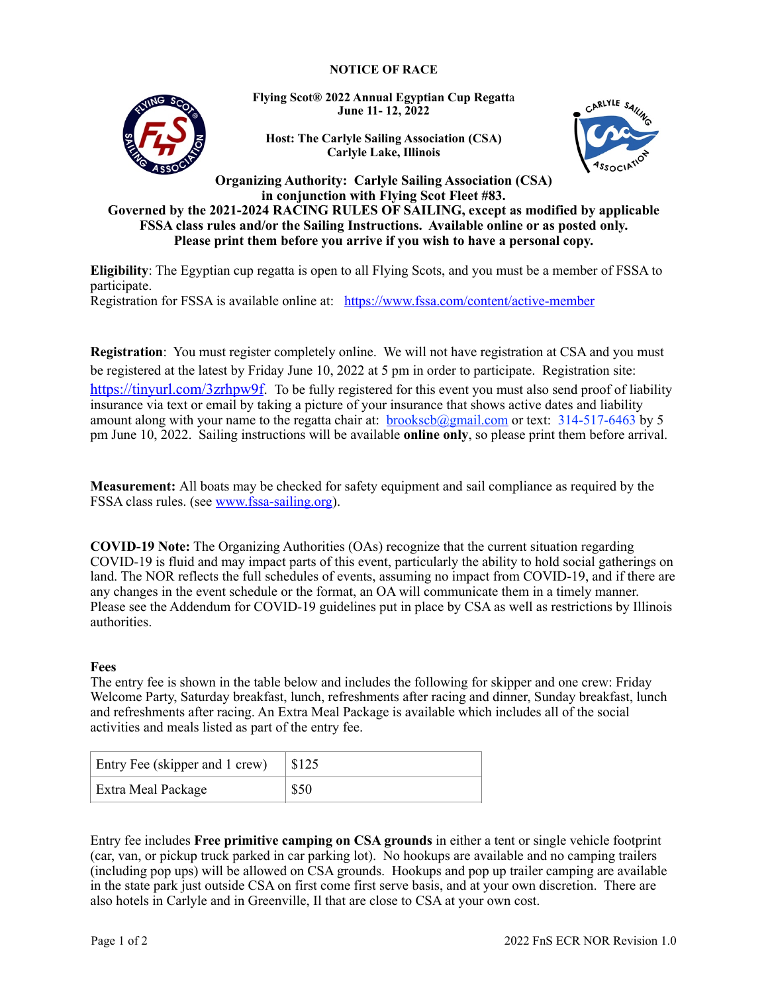## **NOTICE OF RACE**



**Flying Scot® 2022 Annual Egyptian Cup Regatt**a **June 11- 12, 2022**

**Host: The Carlyle Sailing Association (CSA) Carlyle Lake, Illinois**



**Organizing Authority: Carlyle Sailing Association (CSA) in conjunction with Flying Scot Fleet #83. Governed by the 2021-2024 RACING RULES OF SAILING, except as modified by applicable FSSA class rules and/or the Sailing Instructions. Available online or as posted only. Please print them before you arrive if you wish to have a personal copy.**

**Eligibility**: The Egyptian cup regatta is open to all Flying Scots, and you must be a member of FSSA to participate. Registration for FSSA is available online at: <https://www.fssa.com/content/active-member>

**Registration**: You must register completely online. We will not have registration at CSA and you must be registered at the latest by Friday June 10, 2022 at 5 pm in order to participate. Registration site: <https://tinyurl.com/3zrhpw9f>. To be fully registered for this event you must also send proof of liability insurance via text or email by taking a picture of your insurance that shows active dates and liability amount along with your name to the regatta chair at:  $b$ rookscb $@g$ mail.com or text: 314-517-6463 by 5 pm June 10, 2022. Sailing instructions will be available **online only**, so please print them before arrival.

**Measurement:** All boats may be checked for safety equipment and sail compliance as required by the FSSA class rules. (see [www.fssa-sailing.org](http://www.fssa-sailing.org/)).

**COVID-19 Note:** The Organizing Authorities (OAs) recognize that the current situation regarding COVID-19 is fluid and may impact parts of this event, particularly the ability to hold social gatherings on land. The NOR reflects the full schedules of events, assuming no impact from COVID-19, and if there are any changes in the event schedule or the format, an OA will communicate them in a timely manner. Please see the Addendum for COVID-19 guidelines put in place by CSA as well as restrictions by Illinois authorities.

## **Fees**

The entry fee is shown in the table below and includes the following for skipper and one crew: Friday Welcome Party, Saturday breakfast, lunch, refreshments after racing and dinner, Sunday breakfast, lunch and refreshments after racing. An Extra Meal Package is available which includes all of the social activities and meals listed as part of the entry fee.

| Entry Fee (skipper and 1 crew) | \$125 |
|--------------------------------|-------|
| Extra Meal Package             | \$50  |

Entry fee includes **Free primitive camping on CSA grounds** in either a tent or single vehicle footprint (car, van, or pickup truck parked in car parking lot). No hookups are available and no camping trailers (including pop ups) will be allowed on CSA grounds. Hookups and pop up trailer camping are available in the state park just outside CSA on first come first serve basis, and at your own discretion. There are also hotels in Carlyle and in Greenville, Il that are close to CSA at your own cost.